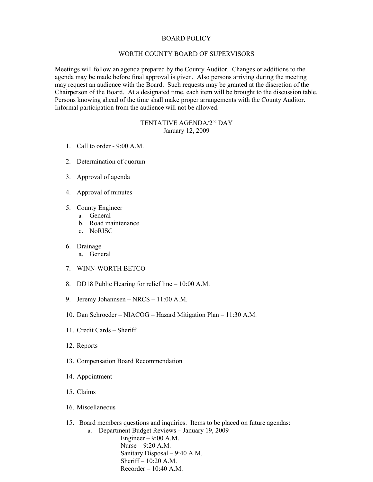## BOARD POLICY

## WORTH COUNTY BOARD OF SUPERVISORS

Meetings will follow an agenda prepared by the County Auditor. Changes or additions to the agenda may be made before final approval is given. Also persons arriving during the meeting may request an audience with the Board. Such requests may be granted at the discretion of the Chairperson of the Board. At a designated time, each item will be brought to the discussion table. Persons knowing ahead of the time shall make proper arrangements with the County Auditor. Informal participation from the audience will not be allowed.

## TENTATIVE AGENDA/2nd DAY January 12, 2009

- 1. Call to order 9:00 A.M.
- 2. Determination of quorum
- 3. Approval of agenda
- 4. Approval of minutes
- 5. County Engineer
	- a. General
	- b. Road maintenance
	- c. NoRISC
- 6. Drainage
	- a. General
- 7. WINN-WORTH BETCO
- 8. DD18 Public Hearing for relief line 10:00 A.M.
- 9. Jeremy Johannsen NRCS 11:00 A.M.
- 10. Dan Schroeder NIACOG Hazard Mitigation Plan 11:30 A.M.
- 11. Credit Cards Sheriff
- 12. Reports
- 13. Compensation Board Recommendation
- 14. Appointment
- 15. Claims
- 16. Miscellaneous
- 15. Board members questions and inquiries. Items to be placed on future agendas:
	- a. Department Budget Reviews January 19, 2009 Engineer  $-9:00$  A.M. Nurse – 9:20 A.M. Sanitary Disposal – 9:40 A.M. Sheriff – 10:20 A.M. Recorder – 10:40 A.M.